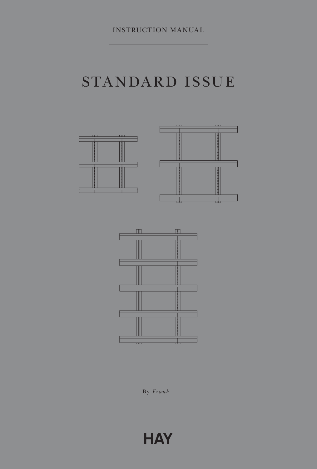# STANDARD ISSUE



By *Frank*

# **HAY**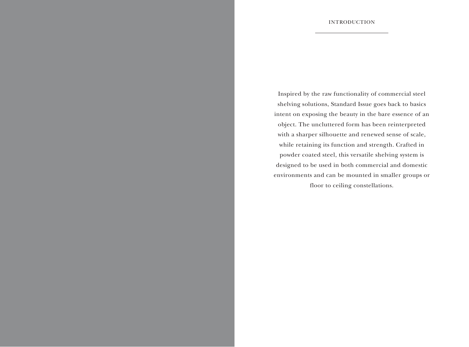Inspired by the raw functionality of commercial steel shelving solutions, Standard Issue goes back to basics intent on exposing the beauty in the bare essence of an object. The uncluttered form has been reinterpreted with a sharper silhouette and renewed sense of scale, while retaining its function and strength. Crafted in powder coated steel, this versatile shelving system is designed to be used in both commercial and domestic environments and can be mounted in smaller groups or floor to ceiling constellations.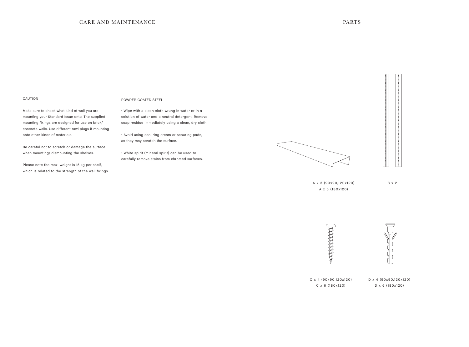### CARE AND MAINTENANCE PARTS

### CAUTION

Make sure to check what kind of wall you are mounting your Standard Issue onto. The supplied mounting fixings are designed for use on brick/ concrete walls. Use different rawl plugs if mounting onto other kinds of materials.

Be careful not to scratch or damage the surface when mounting/ dismounting the shelves.

Please note the max. weight is 15 kg per shelf, which is related to the strength of the wall fixings.

#### POWDER COATED STEEL

• Wipe with a clean cloth wrung in water or in a solution of water and a neutral detergent. Remove soap residue immediately using a clean, dry cloth.

• Avoid using scouring cream or scouring pads, as they may scratch the surface.

• White spirit (mineral spirit) can be used to carefully remove stains from chromed surfaces.



 $\begin{bmatrix} 0 \\ 0 \end{bmatrix}$ 

A x 3 (90x90,120x120) A x 5 (180x120)

B x 2





C x 4 (90x90,120x120) C x 6 (180x120)

D x 4 (90x90,120x120) D x 6 (180x120)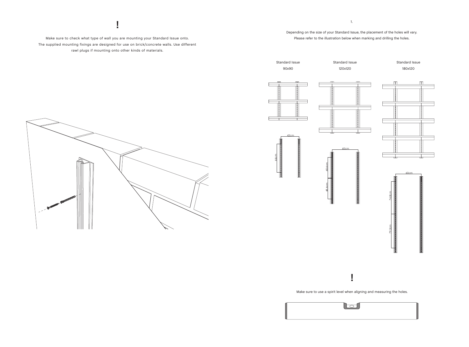Make sure to check what type of wall you are mounting your Standard Issue onto. The supplied mounting fixings are designed for use on brick/concrete walls. Use different rawl plugs if mounting onto other kinds of materials.

### **!** 1. Depending on the size of your Standard Issue, the placement of the holes will vary. Please refer to the illustration below when marking and drilling the holes.





lo

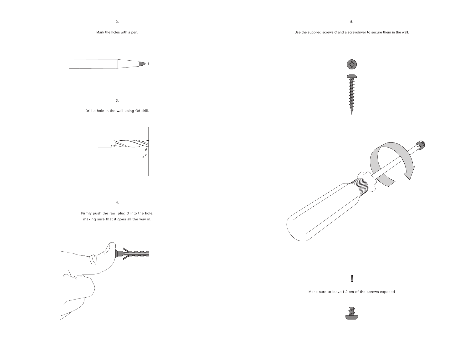



3.

Drill a hole in the wall using Ø6 drill.

4.

Firmly push the rawl plug D into the hole, making sure that it goes all the way in.



Use the supplied screws C and a screwdriver to secure them in the wall.

 $\bigodot$ **PARTICIPATE** 



**!**

Make sure to leave 1-2 cm of the screws exposed

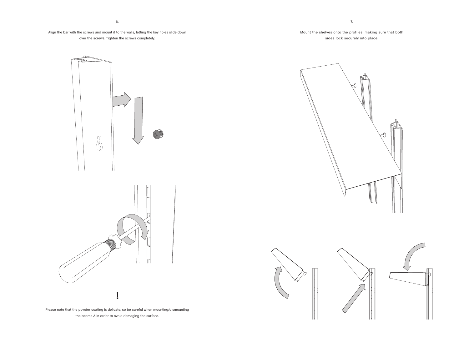Align the bar with the screws and mount it to the walls, letting the key holes slide down over the screws. Tighten the screws completely.

血热

Please note that the powder coating is delicate, so be careful when mounting/dismounting the beams A in order to avoid damaging the surface.

**!**



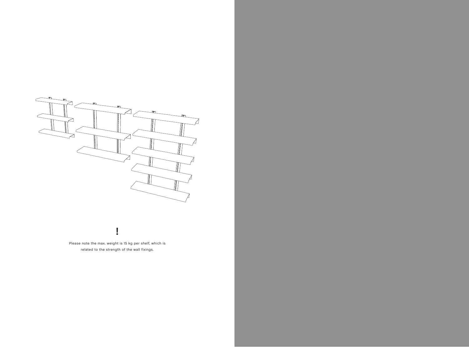

## **!**

Please note the max. weight is 15 kg per shelf, which is related to the strength of the wall fixings.